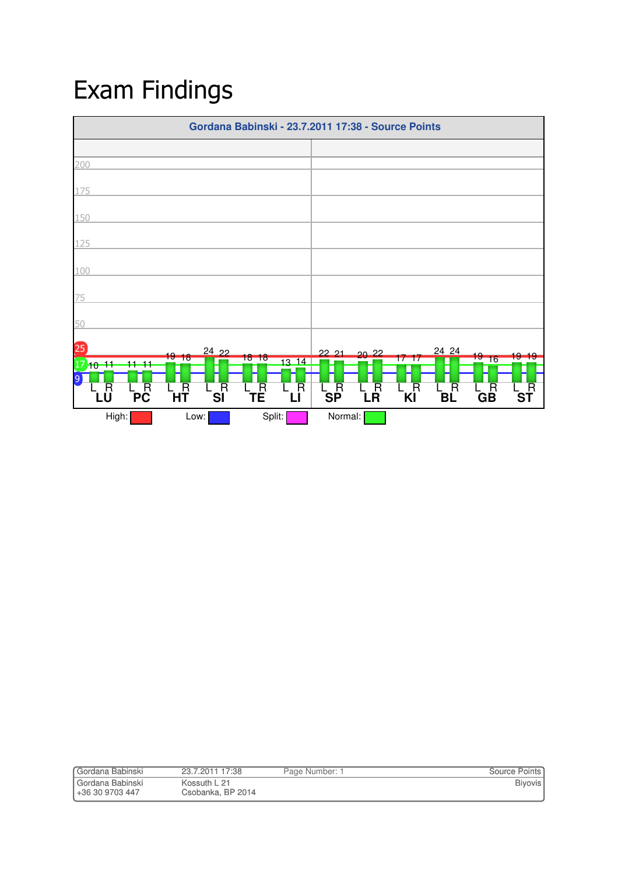## Exam Findings



| Gordana Babinski   | 23.7.2011 17:38   | Page Number: 1 | <b>Source Points</b> |
|--------------------|-------------------|----------------|----------------------|
| l Gordana Babinski | Kossuth L 21      |                | <b>Biyovis</b>       |
| l +36 30 9703 447  | Csobanka, BP 2014 |                |                      |